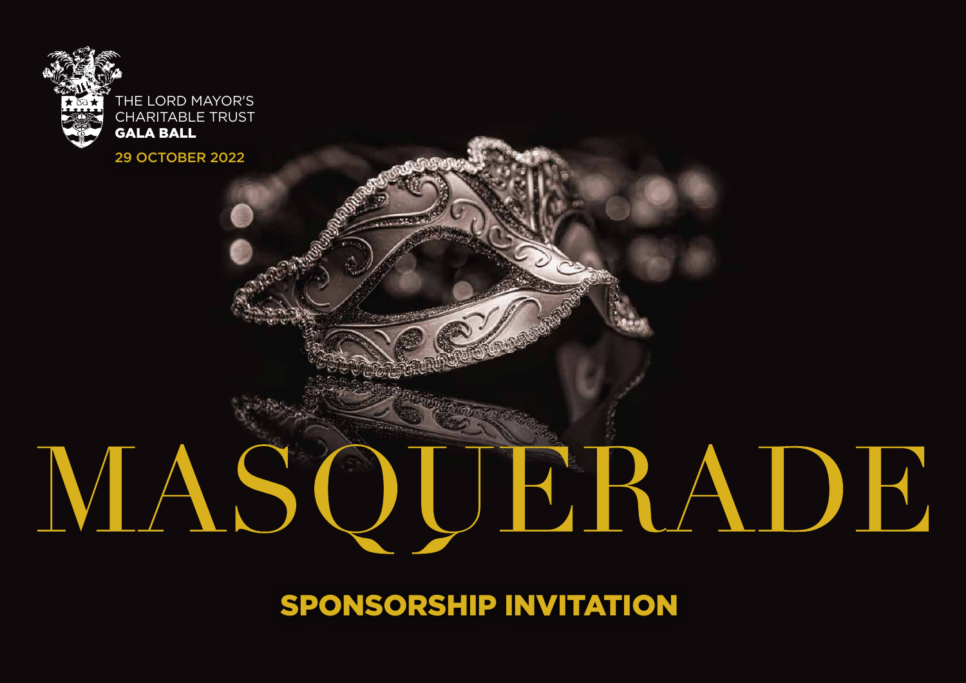

GALA BALL

29 OCTOBER 2022

# MASOUERADE

SPONSORSHIP INVITATION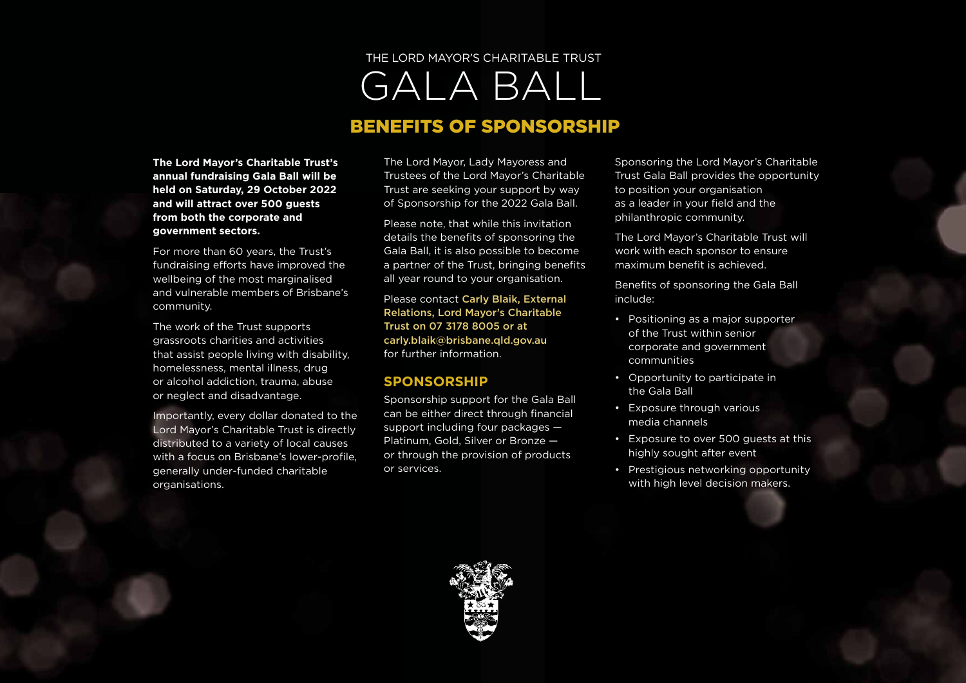# GALA BALL THE LORD MAYOR'S CHARITABLE TRUST BENEFITS OF SPONSORSHIP

**The Lord Mayor's Charitable Trust's annual fundraising Gala Ball will be held on Saturday, 29 October 2022 and will attract over 500 guests from both the corporate and government sectors.**

For more than 60 years, the Trust's fundraising efforts have improved the wellbeing of the most marginalised and vulnerable members of Brisbane's community.

The work of the Trust supports grassroots charities and activities that assist people living with disability, homelessness, mental illness, drug or alcohol addiction, trauma, abuse or neglect and disadvantage.

Importantly, every dollar donated to the Lord Mayor's Charitable Trust is directly distributed to a variety of local causes with a focus on Brisbane's lower-profile, generally under-funded charitable organisations.

The Lord Mayor, Lady Mayoress and Trustees of the Lord Mayor's Charitable Trust are seeking your support by way of Sponsorship for the 2022 Gala Ball.

Please note, that while this invitation details the benefits of sponsoring the Gala Ball, it is also possible to become a partner of the Trust, bringing benefits all year round to your organisation.

Please contact Carly Blaik, External Relations, Lord Mayor's Charitable Trust on 07 3178 8005 or at carly.blaik@brisbane.qld.gov.au for further information.

#### **SPONSORSHIP**

Sponsorship support for the Gala Ball can be either direct through financial support including four packages — Platinum, Gold, Silver or Bronze or through the provision of products or services.

Sponsoring the Lord Mayor's Charitable Trust Gala Ball provides the opportunity to position your organisation as a leader in your field and the philanthropic community.

The Lord Mayor's Charitable Trust will work with each sponsor to ensure maximum benefit is achieved.

Benefits of sponsoring the Gala Ball include:

- Positioning as a major supporter of the Trust within senior corporate and government communities
- Opportunity to participate in the Gala Ball
- Exposure through various media channels
- Exposure to over 500 guests at this highly sought after event
- Prestigious networking opportunity with high level decision makers.

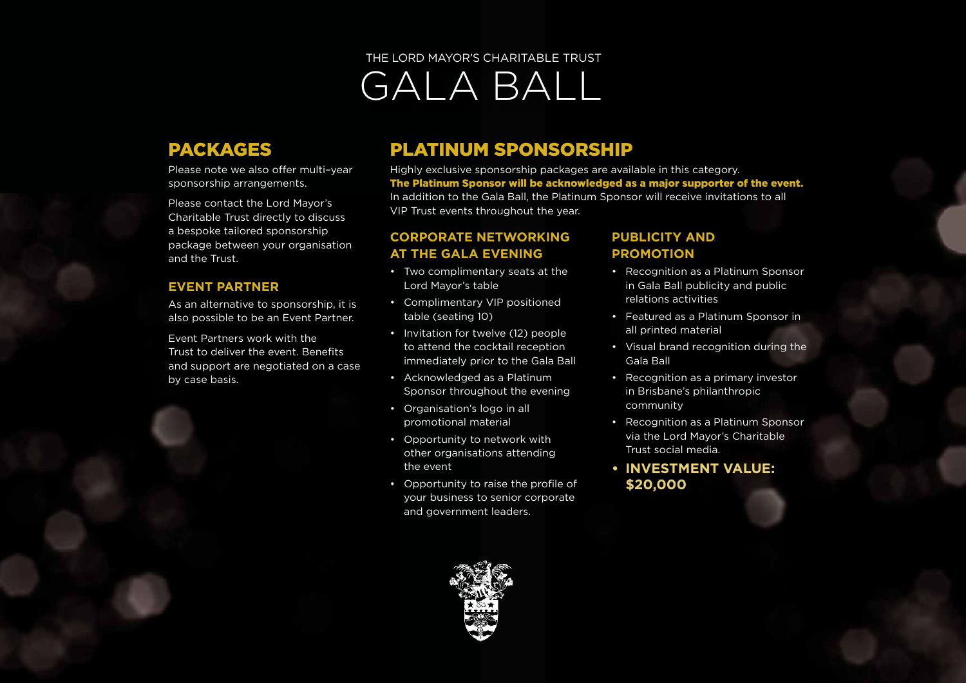## PACKAGES

Please note we also offer multi–year sponsorship arrangements.

Please contact the Lord Mayor's Charitable Trust directly to discuss a bespoke tailored sponsorship package between your organisation and the Trust.

#### **EVENT PARTNER**

As an alternative to sponsorship, it is also possible to be an Event Partner.

Event Partners work with the Trust to deliver the event. Benefits and support are negotiated on a case by case basis.

# PLATINUM SPONSORSHIP

Highly exclusive sponsorship packages are available in this category. The Platinum Sponsor will be acknowledged as a major supporter of the event. In addition to the Gala Ball, the Platinum Sponsor will receive invitations to all VIP Trust events throughout the year.

#### **CORPORATE NETWORKING AT THE GALA EVENING**

- Two complimentary seats at the Lord Mayor's table
- Complimentary VIP positioned table (seating 10)
- Invitation for twelve (12) people to attend the cocktail reception immediately prior to the Gala Ball
- Acknowledged as a Platinum Sponsor throughout the evening
- Organisation's logo in all promotional material
- Opportunity to network with other organisations attending the event
- Opportunity to raise the profile of your business to senior corporate and government leaders.

#### **PUBLICITY AND PROMOTION**

- Recognition as a Platinum Sponsor in Gala Ball publicity and public relations activities
- Featured as a Platinum Sponsor in all printed material
- Visual brand recognition during the Gala Ball
- Recognition as a primary investor in Brisbane's philanthropic community
- Recognition as a Platinum Sponsor via the Lord Mayor's Charitable Trust social media.
- **• INVESTMENT VALUE: \$20,000**

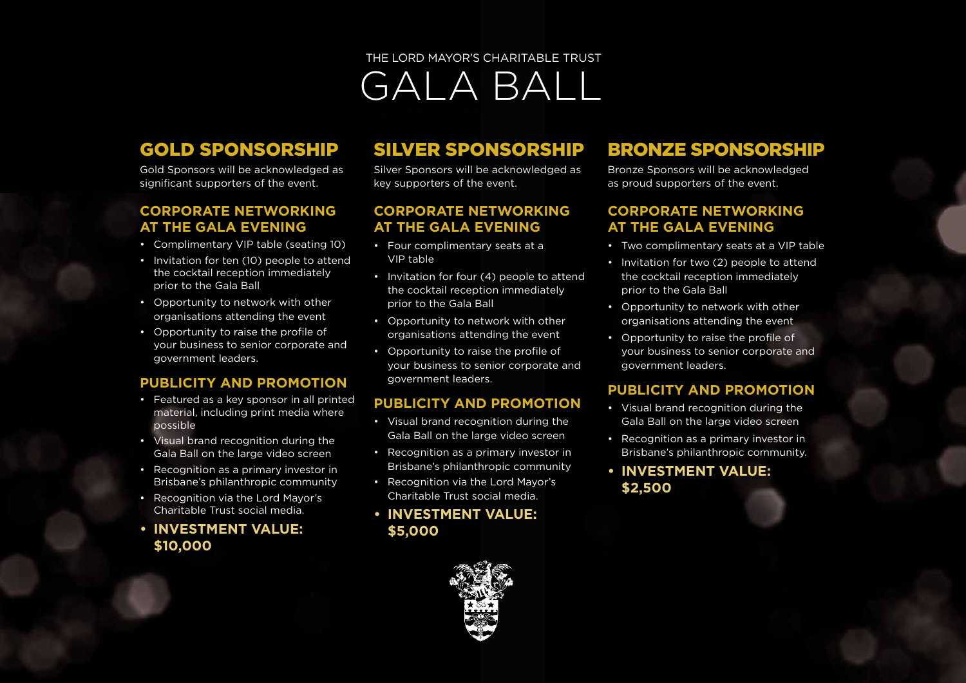# GOLD SPONSORSHIP

Gold Sponsors will be acknowledged as significant supporters of the event.

#### **CORPORATE NETWORKING AT THE GALA EVENING**

- Complimentary VIP table (seating 10)
- Invitation for ten (10) people to attend the cocktail reception immediately prior to the Gala Ball
- Opportunity to network with other organisations attending the event
- Opportunity to raise the profile of your business to senior corporate and government leaders.

#### **PUBLICITY AND PROMOTION**

- Featured as a key sponsor in all printed material, including print media where possible
- Visual brand recognition during the Gala Ball on the large video screen
- Recognition as a primary investor in Brisbane's philanthropic community
- Recognition via the Lord Mayor's Charitable Trust social media.
- **• INVESTMENT VALUE: \$10,000**

## SILVER SPONSORSHIP

Silver Sponsors will be acknowledged as key supporters of the event.

#### **CORPORATE NETWORKING AT THE GALA EVENING**

- Four complimentary seats at a VIP table
- Invitation for four (4) people to attend the cocktail reception immediately prior to the Gala Ball
- Opportunity to network with other organisations attending the event
- Opportunity to raise the profile of your business to senior corporate and government leaders.

#### **PUBLICITY AND PROMOTION**

- Visual brand recognition during the Gala Ball on the large video screen
- Recognition as a primary investor in Brisbane's philanthropic community
- Recognition via the Lord Mayor's Charitable Trust social media.
- **• INVESTMENT VALUE: \$5,000**

## BRONZE SPONSORSHIP

Bronze Sponsors will be acknowledged as proud supporters of the event.

#### **CORPORATE NETWORKING AT THE GALA EVENING**

- Two complimentary seats at a VIP table
- Invitation for two (2) people to attend the cocktail reception immediately prior to the Gala Ball
- Opportunity to network with other organisations attending the event
- Opportunity to raise the profile of your business to senior corporate and government leaders.

#### **PUBLICITY AND PROMOTION**

- Visual brand recognition during the Gala Ball on the large video screen
- Recognition as a primary investor in Brisbane's philanthropic community.
- **• INVESTMENT VALUE: \$2,500**

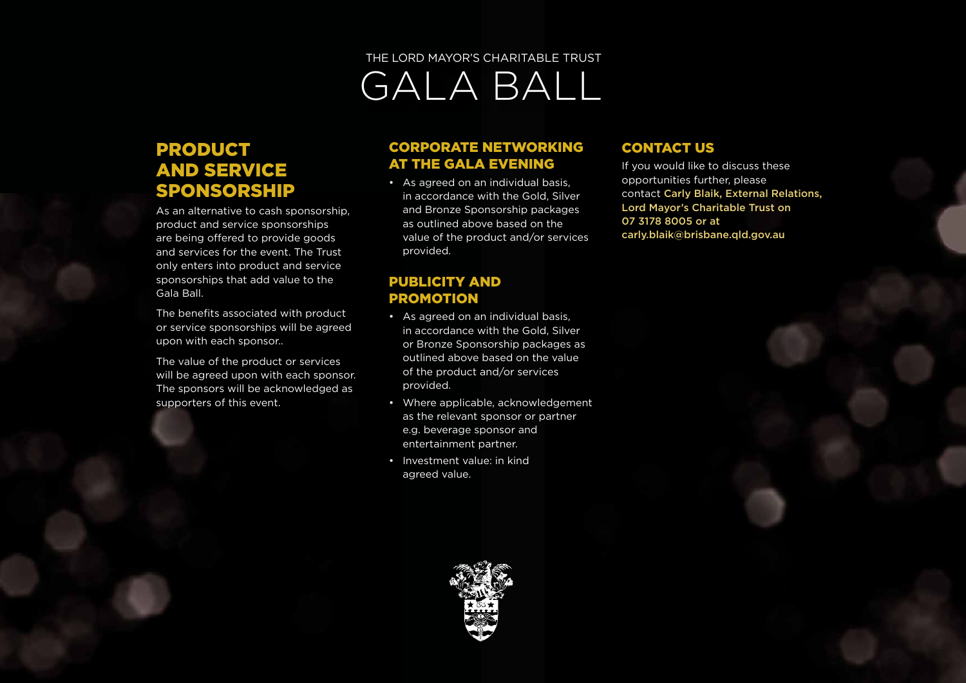## PRODUCT AND SERVICE SPONSORSHIP

As an alternative to cash sponsorship, product and service sponsorships are being offered to provide goods and services for the event. The Trust only enters into product and service sponsorships that add value to the Gala Ball.

The benefits associated with product or service sponsorships will be agreed upon with each sponsor..

The value of the product or services will be agreed upon with each sponsor. The sponsors will be acknowledged as supporters of this event.

#### CORPORATE NETWORKING AT THE GALA EVENING

• As agreed on an individual basis, in accordance with the Gold, Silver and Bronze Sponsorship packages as outlined above based on the value of the product and/or services provided.

#### CONTACT US

If you would like to discuss these opportunities further, please contact Carly Blaik, External Relations, Lord Mayor's Charitable Trust on 07 3178 8005 or at carly.blaik@brisbane.qld.gov.au

#### PUBLICITY AND PROMOTION

- As agreed on an individual basis, in accordance with the Gold, Silver or Bronze Sponsorship packages as outlined above based on the value of the product and/or services provided.
- Where applicable, acknowledgement as the relevant sponsor or partner e.g. beverage sponsor and entertainment partner.
- Investment value: in kind agreed value.

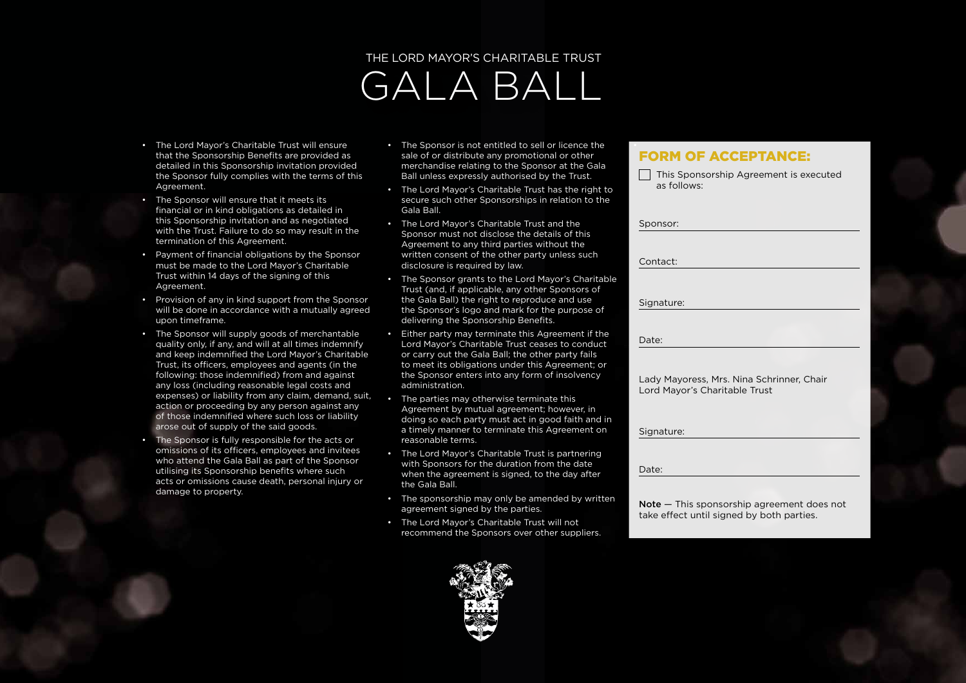- The Lord Mayor's Charitable Trust will ensure that the Sponsorship Benefits are provided as detailed in this Sponsorship invitation provided the Sponsor fully complies with the terms of this Agreement.
- The Sponsor will ensure that it meets its financial or in kind obligations as detailed in this Sponsorship invitation and as negotiated with the Trust. Failure to do so may result in the termination of this Agreement.
- Payment of financial obligations by the Sponsor must be made to the Lord Mayor's Charitable Trust within 14 days of the signing of this Agreement.
- Provision of any in kind support from the Sponsor will be done in accordance with a mutually agreed upon timeframe.
- The Sponsor will supply goods of merchantable quality only, if any, and will at all times indemnify and keep indemnified the Lord Mayor's Charitable Trust, its officers, employees and agents (in the following: those indemnified) from and against any loss (including reasonable legal costs and expenses) or liability from any claim, demand, suit, action or proceeding by any person against any of those indemnified where such loss or liability arose out of supply of the said goods.
- The Sponsor is fully responsible for the acts or omissions of its officers, employees and invitees who attend the Gala Ball as part of the Sponsor utilising its Sponsorship benefits where such acts or omissions cause death, personal injury or damage to property.
- The Sponsor is not entitled to sell or licence the sale of or distribute any promotional or other merchandise relating to the Sponsor at the Gala Ball unless expressly authorised by the Trust.
- The Lord Mayor's Charitable Trust has the right to secure such other Sponsorships in relation to the Gala Ball.
- The Lord Mayor's Charitable Trust and the Sponsor must not disclose the details of this Agreement to any third parties without the written consent of the other party unless such disclosure is required by law.
- The Sponsor grants to the Lord Mayor's Charitable Trust (and, if applicable, any other Sponsors of the Gala Ball) the right to reproduce and use the Sponsor's logo and mark for the purpose of delivering the Sponsorship Benefits.
- Either party may terminate this Agreement if the Lord Mayor's Charitable Trust ceases to conduct or carry out the Gala Ball; the other party fails to meet its obligations under this Agreement; or the Sponsor enters into any form of insolvency administration.
- The parties may otherwise terminate this Agreement by mutual agreement; however, in doing so each party must act in good faith and in a timely manner to terminate this Agreement on reasonable terms.
- The Lord Mayor's Charitable Trust is partnering with Sponsors for the duration from the date when the agreement is signed, to the day after the Gala Ball.
- The sponsorship may only be amended by written agreement signed by the parties.
- The Lord Mayor's Charitable Trust will not recommend the Sponsors over other suppliers.

### FORM OF ACCEPTANCE:

| This Sponsorship Agreement is executed<br>as follows:                      |
|----------------------------------------------------------------------------|
| Sponsor:                                                                   |
| Contact:                                                                   |
|                                                                            |
| Signature:                                                                 |
| Date:                                                                      |
| Lady Mayoress, Mrs. Nina Schrinner, Chair<br>Lord Mayor's Charitable Trust |
| Signature:                                                                 |
| Date:                                                                      |

Note — This sponsorship agreement does not take effect until signed by both parties.